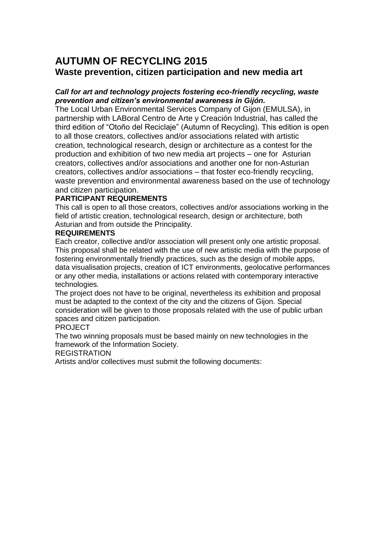# **AUTUMN OF RECYCLING 2015 Waste prevention, citizen participation and new media art**

# *Call for art and technology projects fostering eco-friendly recycling, waste prevention and citizen's environmental awareness in Gijón.*

The Local Urban Environmental Services Company of Gijon (EMULSA), in partnership with LABoral Centro de Arte y Creación Industrial, has called the third edition of "Otoño del Reciclaje" (Autumn of Recycling). This edition is open to all those creators, collectives and/or associations related with artistic creation, technological research, design or architecture as a contest for the production and exhibition of two new media art projects – one for Asturian creators, collectives and/or associations and another one for non-Asturian creators, collectives and/or associations – that foster eco-friendly recycling, waste prevention and environmental awareness based on the use of technology and citizen participation.

# **PARTICIPANT REQUIREMENTS**

This call is open to all those creators, collectives and/or associations working in the field of artistic creation, technological research, design or architecture, both Asturian and from outside the Principality.

# **REQUIREMENTS**

Each creator, collective and/or association will present only one artistic proposal. This proposal shall be related with the use of new artistic media with the purpose of fostering environmentally friendly practices, such as the design of mobile apps, data visualisation projects, creation of ICT environments, geolocative performances or any other media, installations or actions related with contemporary interactive technologies.

The project does not have to be original, nevertheless its exhibition and proposal must be adapted to the context of the city and the citizens of Gijon. Special consideration will be given to those proposals related with the use of public urban spaces and citizen participation.

## PROJECT

The two winning proposals must be based mainly on new technologies in the framework of the Information Society.

# REGISTRATION

Artists and/or collectives must submit the following documents: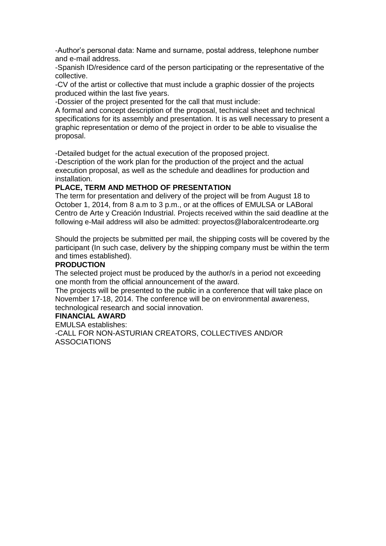-Author's personal data: Name and surname, postal address, telephone number and e-mail address.

-Spanish ID/residence card of the person participating or the representative of the collective.

-CV of the artist or collective that must include a graphic dossier of the projects produced within the last five years.

-Dossier of the project presented for the call that must include:

A formal and concept description of the proposal, technical sheet and technical specifications for its assembly and presentation. It is as well necessary to present a graphic representation or demo of the project in order to be able to visualise the proposal.

-Detailed budget for the actual execution of the proposed project.

-Description of the work plan for the production of the project and the actual execution proposal, as well as the schedule and deadlines for production and installation.

#### **PLACE, TERM AND METHOD OF PRESENTATION**

The term for presentation and delivery of the project will be from August 18 to October 1, 2014, from 8 a.m to 3 p.m., or at the offices of EMULSA or LABoral Centro de Arte y Creación Industrial. Projects received within the said deadline at the following e-Mail address will also be admitted: proyectos@laboralcentrodearte.org

Should the projects be submitted per mail, the shipping costs will be covered by the participant (In such case, delivery by the shipping company must be within the term and times established).

#### **PRODUCTION**

The selected project must be produced by the author/s in a period not exceeding one month from the official announcement of the award.

The projects will be presented to the public in a conference that will take place on November 17-18, 2014. The conference will be on environmental awareness, technological research and social innovation.

## **FINANCIAL AWARD**

EMULSA establishes:

-CALL FOR NON-ASTURIAN CREATORS, COLLECTIVES AND/OR ASSOCIATIONS